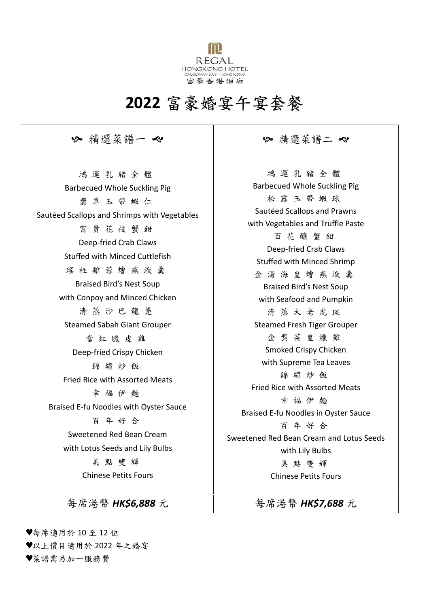

# **2022** 富豪婚宴午宴套餐

### 精選菜譜一 精選菜譜二

鴻 運 乳 豬 全 體 Barbecued Whole Suckling Pig 翡 翠 玉 帶 蝦 仁 Sautéed Scallops and Shrimps with Vegetables 富貴花枝蟹鉗 Deep-fried Crab Claws Stuffed with Minced Cuttlefish 瑤 柱 雞 蓉 燴 燕 液 羹 Braised Bird's Nest Soup with Conpoy and Minced Chicken 清 蒸 沙 巴 龍 躉 Steamed Sabah Giant Grouper 當紅脆皮雞 Deep-fried Crispy Chicken 錦 繡 炒 飯 Fried Rice with Assorted Meats 幸 福 伊 麵 Braised E-fu Noodles with Oyster Sauce 百 年 好 合 Sweetened Red Bean Cream with Lotus Seeds and Lily Bulbs 美 點 雙 輝 Chinese Petits Fours

鴻 運 乳 豬 全 體 Barbecued Whole Suckling Pig 松 露 玉 帶 蝦 球 Sautéed Scallops and Prawns with Vegetables and Truffle Paste 百 花 釀 蟹 鉗 Deep-fried Crab Claws Stuffed with Minced Shrimp 金 湯 海 皇 燴 燕 液 羹 Braised Bird's Nest Soup with Seafood and Pumpkin 清 蒸 大 老 虎 斑 Steamed Fresh Tiger Grouper 金 獎 茶 皇 燻 雞 Smoked Crispy Chicken with Supreme Tea Leaves 錦 繡 炒 飯 Fried Rice with Assorted Meats 幸 福 伊 麵 Braised E-fu Noodles in Oyster Sauce 百 年 好 合 Sweetened Red Bean Cream and Lotus Seeds with Lily Bulbs 美點雙輝 Chinese Petits Fours

每席港幣 **HK\$6,888** 元 | **4 5 年** 每席港幣 HK\$7,688 元

♥每席適用於 10 至 12 位

♥以上價目適用於 2022 年之婚宴

♥菜譜需另加一服務費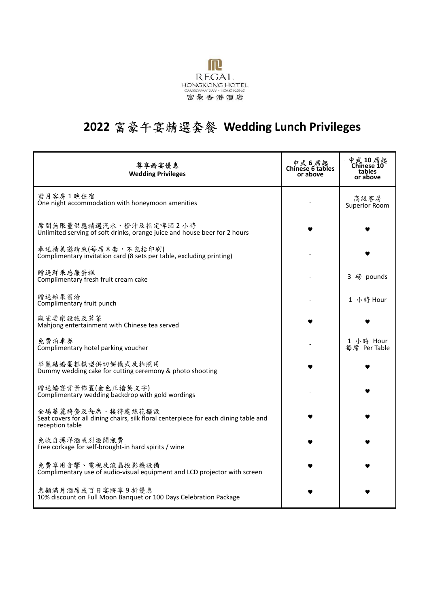

# **2022** 富豪午宴精選套餐 **Wedding Lunch Privileges**

| 尊享婚宴優惠<br><b>Wedding Privileges</b>                                                                                          | 中式6席起<br>Chinese 6 tables<br>or above | <b>中式 10 席起</b><br>tables<br>or above |
|------------------------------------------------------------------------------------------------------------------------------|---------------------------------------|---------------------------------------|
| 蜜月客房1晚住宿<br>One night accommodation with honeymoon amenities                                                                 |                                       | 高級客房<br><b>Superior Room</b>          |
| 席間無限量供應精選汽水、橙汁及指定啤酒2小時<br>Unlimited serving of soft drinks, orange juice and house beer for 2 hours                          |                                       |                                       |
| 奉送精美邀請柬(每席8套,不包括印刷)<br>Complimentary invitation card (8 sets per table, excluding printing)                                  |                                       |                                       |
| 贈送鮮果忌廉蛋糕<br>Complimentary fresh fruit cream cake                                                                             |                                       | 3 磅 pounds                            |
| 贈送雜果賓治<br>Complimentary fruit punch                                                                                          |                                       | 1 小時 Hour                             |
| 麻雀耍樂設施及茗茶<br>Mahjong entertainment with Chinese tea served                                                                   |                                       |                                       |
| 免費泊車券<br>Complimentary hotel parking voucher                                                                                 |                                       | 1 小時 Hour<br>每席 Per Table             |
| 華麗結婚蛋糕模型供切餅儀式及拍照用<br>Dummy wedding cake for cutting ceremony & photo shooting                                                |                                       |                                       |
| 贈送婚宴背景佈置(金色正楷英文字)<br>Complimentary wedding backdrop with gold wordings                                                       |                                       |                                       |
| 全場華麗椅套及每席、接待處絲花擺設<br>Seat covers for all dining chairs, silk floral centerpiece for each dining table and<br>reception table |                                       |                                       |
| 免收自攜洋酒或烈酒開瓶費<br>Free corkage for self-brought-in hard spirits / wine                                                         |                                       |                                       |
| 免費享用音響、電視及液晶投影機設備<br>Complimentary use of audio-visual equipment and LCD projector with screen                               |                                       |                                       |
| 惠顧滿月酒席或百日宴將享9折優惠<br>10% discount on Full Moon Banquet or 100 Days Celebration Package                                        |                                       |                                       |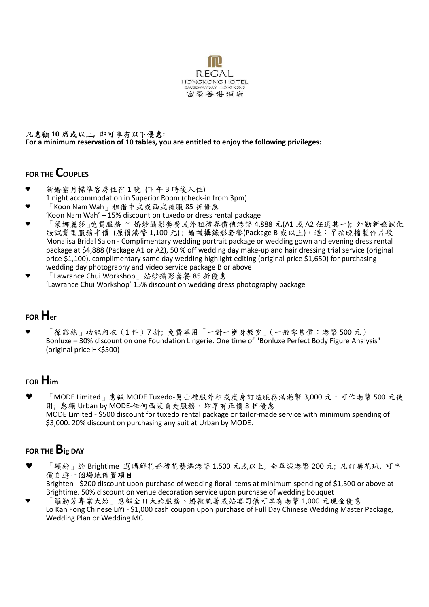

#### 凡惠顧 **10** 席或以上**,** 即可享有以下優惠**: For a minimum reservation of 10 tables, you are entitled to enjoy the following privileges:**

#### **FOR THE COUPLES**

- 新婚蜜月標準客房住宿1晚 (下午3時後入住)
- 1 night accommodation in Superior Room (check-in from 3pm)
- $\lceil$  Koon Nam Wah  $\lceil$  租借中式或西式禮服 85 折優惠 'Koon Nam Wah' – 15% discount on tuxedo or dress rental package
- ♥ 「蒙娜麗莎」免費服務 ~ 婚紗攝影套餐或外租禮券價值港幣 4,888 元(A1 或 A2 任選其一); 外勤新娘試化 妝試髮型服務半價 (原價港幣 1,100 元) ; 婚禮攝錄影套餐(Package B 或以上),送:早拍晚播製作片段 Monalisa Bridal Salon - Complimentary wedding portrait package or wedding gown and evening dress rental package at \$4,888 (Package A1 or A2), 50 % off wedding day make-up and hair dressing trial service (original price \$1,100), complimentary same day wedding highlight editing (original price \$1,650) for purchasing wedding day photography and video service package B or above
- 「Lawrance Chui Workshop」婚紗攝影套餐 85 折優惠 'Lawrance Chui Workshop' 15% discount on wedding dress photography package

## **FOR Her**

「葆露絲」功能內衣(1件)7折;免費享用「一對一塑身教室」(一般零售價:港幣 500 元) Bonluxe – 30% discount on one Foundation Lingerie. One time of "Bonluxe Perfect Body Figure Analysis" (original price HK\$500)

## **FOR Him**

「MODE Limited」惠顧 MODE Tuxedo-男士禮服外租或度身訂造服務滿港幣 3,000 元, 可作港幣 500 元使 用; 惠顧 Urban by MODE-任何西裝買走服務, 即享有正價 8 折優惠 MODE Limited - \$500 discount for tuxedo rental package or tailor-made service with minimum spending of \$3,000. 20% discount on purchasing any suit at Urban by MODE.

## **FOR THE Big DAY**

- 「繽紛」於 Brightime 選購鮮花婚禮花藝滿港幣 1,500 元或以上, 全單減港幣 200 元; 凡訂購花球, 可半 價自選一個場地佈置項目 Brighten - \$200 discount upon purchase of wedding floral items at minimum spending of \$1,500 or above at Brightime. 50% discount on venue decoration service upon purchase of wedding bouquet
- 「羅勤芳專業大妗」惠顧全日大妗服務、婚禮統籌或婚宴司儀可享有港幣 1,000 元現金優惠 Lo Kan Fong Chinese LiYi - \$1,000 cash coupon upon purchase of Full Day Chinese Wedding Master Package, Wedding Plan or Wedding MC